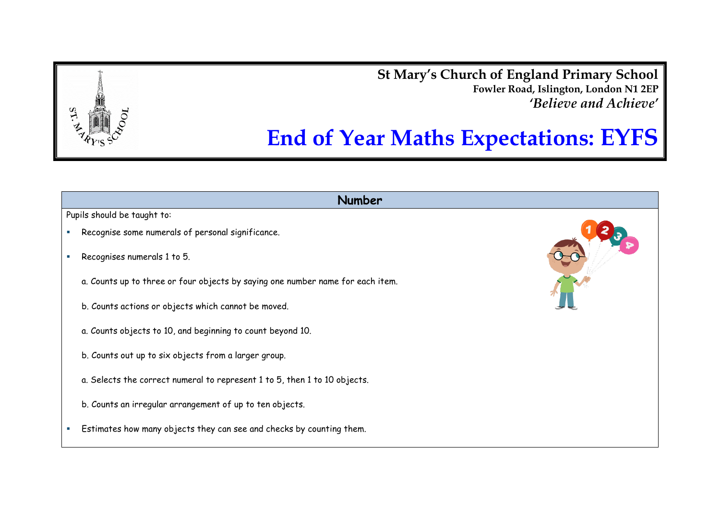**St Mary's Church of England Primary School Fowler Road, Islington, London N1 2EP** *'Believe and Achieve'*

## **End of Year Maths Expectations: EYFS**

## **Number**

Pupils should be taught to:

- Recognise some numerals of personal significance.
- Recognises numerals 1 to 5.
	- a. Counts up to three or four objects by saying one number name for each item.
	- b. Counts actions or objects which cannot be moved.
	- a. Counts objects to 10, and beginning to count beyond 10.
	- b. Counts out up to six objects from a larger group.
	- a. Selects the correct numeral to represent 1 to 5, then 1 to 10 objects.
	- b. Counts an irregular arrangement of up to ten objects.
- **Estimates how many objects they can see and checks by counting them.**



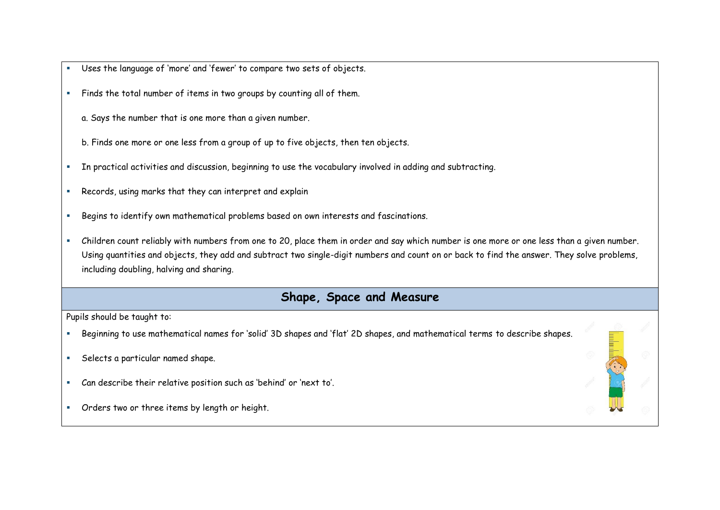- Uses the language of 'more' and 'fewer' to compare two sets of objects.
- Finds the total number of items in two groups by counting all of them.
	- a. Says the number that is one more than a given number.
	- b. Finds one more or one less from a group of up to five objects, then ten objects.
- In practical activities and discussion, beginning to use the vocabulary involved in adding and subtracting.
- Records, using marks that they can interpret and explain
- Begins to identify own mathematical problems based on own interests and fascinations.
- Children count reliably with numbers from one to 20, place them in order and say which number is one more or one less than a given number. Using quantities and objects, they add and subtract two single-digit numbers and count on or back to find the answer. They solve problems, including doubling, halving and sharing.

## **Shape, Space and Measure**

Pupils should be taught to:

- Beginning to use mathematical names for 'solid' 3D shapes and 'flat' 2D shapes, and mathematical terms to describe shapes.
- Selects a particular named shape.
- Can describe their relative position such as 'behind' or 'next to'.
- Orders two or three items by length or height.